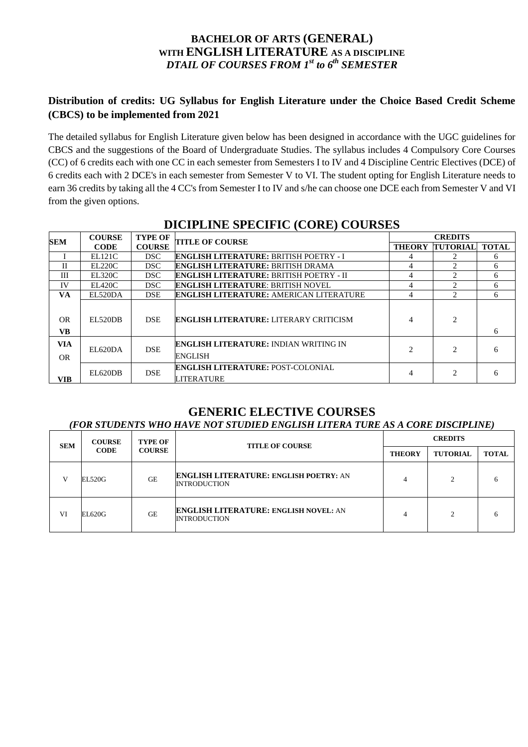# **BACHELOR OF ARTS (GENERAL) WITH ENGLISH LITERATURE AS A DISCIPLINE** *DTAIL OF COURSES FROM 1st to 6th SEMESTER*

# **Distribution of credits: UG Syllabus for English Literature under the Choice Based Credit Scheme (CBCS) to be implemented from 2021**

The detailed syllabus for English Literature given below has been designed in accordance with the UGC guidelines for CBCS and the suggestions of the Board of Undergraduate Studies. The syllabus includes 4 Compulsory Core Courses (CC) of 6 credits each with one CC in each semester from Semesters I to IV and 4 Discipline Centric Electives (DCE) of 6 credits each with 2 DCE's in each semester from Semester V to VI. The student opting for English Literature needs to earn 36 credits by taking all the 4 CC's from Semester I to IV and s/he can choose one DCE each from Semester V and VI from the given options.

| <b>SEM</b>              | <b>COURSE</b><br><b>CODE</b> | <b>TYPE OF</b><br><b>COURSE</b> | <b>TITLE OF COURSE</b>                                         | <b>CREDITS</b> |                             |              |
|-------------------------|------------------------------|---------------------------------|----------------------------------------------------------------|----------------|-----------------------------|--------------|
|                         |                              |                                 |                                                                | <b>THEORY</b>  | <b>TUTORIAL</b>             | <b>TOTAL</b> |
|                         | EL121C                       | DSC.                            | <b>ENGLISH LITERATURE: BRITISH POETRY - I</b>                  |                |                             | 6            |
| $\mathbf{I}$            | EL 220C                      | DSC.                            | <b>ENGLISH LITERATURE: BRITISH DRAMA</b>                       |                |                             | 6            |
| Ш                       | <b>EL320C</b>                | DSC.                            | <b>ENGLISH LITERATURE: BRITISH POETRY - II</b>                 | 4              | $\mathcal{L}$               | 6            |
| IV                      | EL420C                       | DSC.                            | <b>ENGLISH LITERATURE: BRITISH NOVEL</b>                       | 4              | $\mathfrak{D}$              | 6            |
| <b>VA</b>               | EL520DA                      | <b>DSE</b>                      | <b>ENGLISH LITERATURE: AMERICAN LITERATURE</b>                 | 4              | $\mathcal{D}_{\mathcal{L}}$ | 6            |
| <b>OR</b><br>VB.        | EL520DB                      | <b>DSE</b>                      | <b>ENGLISH LITERATURE: LITERARY CRITICISM</b>                  | 4              | $\mathcal{D}_{\mathcal{L}}$ | 6            |
| <b>VIA</b><br><b>OR</b> | EL620DA                      | <b>DSE</b>                      | <b>ENGLISH LITERATURE: INDIAN WRITING IN</b><br><b>ENGLISH</b> | $\mathfrak{D}$ | $\mathfrak{D}$              | 6            |
| VIB                     | EL620DB                      | <b>DSE</b>                      | <b>ENGLISH LITERATURE: POST-COLONIAL</b><br><b>LITERATURE</b>  |                | ↑                           | 6            |

# **DICIPLINE SPECIFIC (CORE) COURSES**

#### **GENERIC ELECTIVE COURSES** *(FOR STUDENTS WHO HAVE NOT STUDIED ENGLISH LITERA TURE AS A CORE DISCIPLINE)*

| <b>SEM</b>   | <b>COURSE</b><br><b>CODE</b> | <b>TYPE OF</b><br><b>COURSE</b> | <b>TITLE OF COURSE</b>                                               | <b>CREDITS</b> |                 |              |
|--------------|------------------------------|---------------------------------|----------------------------------------------------------------------|----------------|-----------------|--------------|
|              |                              |                                 |                                                                      | <b>THEORY</b>  | <b>TUTORIAL</b> | <b>TOTAL</b> |
| $\mathbf{V}$ | EL520G                       | <b>GE</b>                       | <b>ENGLISH LITERATURE: ENGLISH POETRY: AN</b><br><b>INTRODUCTION</b> |                | $\Omega$        | 6            |
| VI           | EL620G                       | <b>GE</b>                       | <b>ENGLISH LITERATURE: ENGLISH NOVEL: AN</b><br><b>INTRODUCTION</b>  |                | ↑               | 6            |